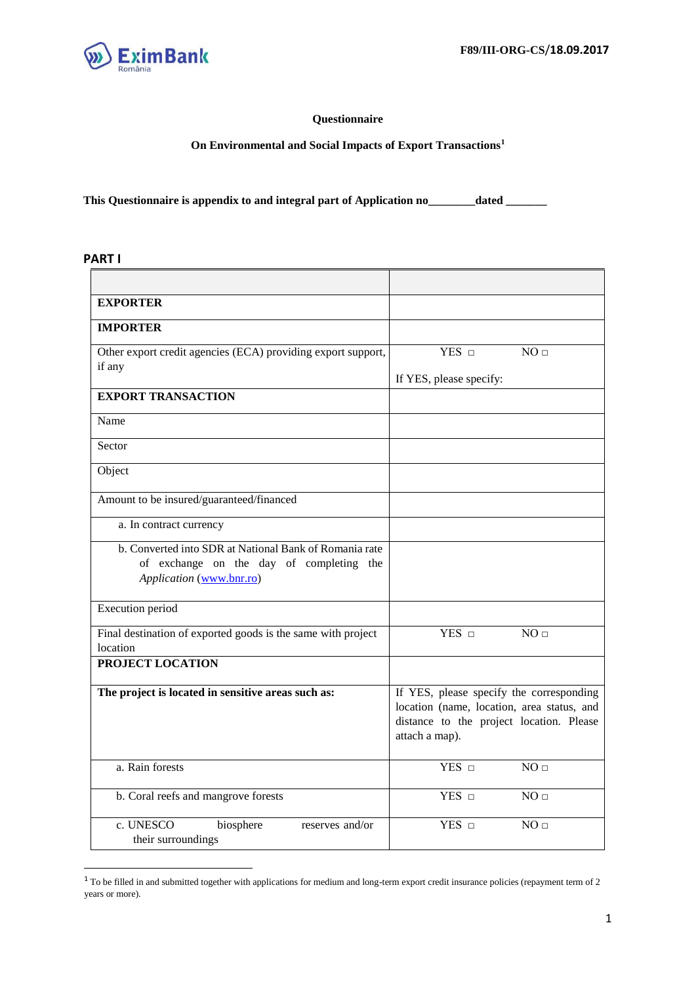

 $\overline{\phantom{a}}$ 

### **Questionnaire**

**On Environmental and Social Impacts of Export Transactions<sup>1</sup>**

**This Questionnaire is appendix to and integral part of Application no\_\_\_\_\_\_\_\_dated \_\_\_\_\_\_\_** 

#### **PART I**

 $\overline{a}$ 

| <b>EXPORTER</b>                                                                                                                |                                                                                                                                                      |
|--------------------------------------------------------------------------------------------------------------------------------|------------------------------------------------------------------------------------------------------------------------------------------------------|
| <b>IMPORTER</b>                                                                                                                |                                                                                                                                                      |
| Other export credit agencies (ECA) providing export support,                                                                   | NO <sub>□</sub><br>$YES$ $\square$                                                                                                                   |
| if any                                                                                                                         | If YES, please specify:                                                                                                                              |
| <b>EXPORT TRANSACTION</b>                                                                                                      |                                                                                                                                                      |
| Name                                                                                                                           |                                                                                                                                                      |
| Sector                                                                                                                         |                                                                                                                                                      |
| Object                                                                                                                         |                                                                                                                                                      |
| Amount to be insured/guaranteed/financed                                                                                       |                                                                                                                                                      |
| a. In contract currency                                                                                                        |                                                                                                                                                      |
| b. Converted into SDR at National Bank of Romania rate<br>of exchange on the day of completing the<br>Application (www.bnr.ro) |                                                                                                                                                      |
| <b>Execution</b> period                                                                                                        |                                                                                                                                                      |
| Final destination of exported goods is the same with project<br>location                                                       | YES <b>D</b><br>NO <sub>□</sub>                                                                                                                      |
| PROJECT LOCATION                                                                                                               |                                                                                                                                                      |
| The project is located in sensitive areas such as:                                                                             | If YES, please specify the corresponding<br>location (name, location, area status, and<br>distance to the project location. Please<br>attach a map). |
| a. Rain forests                                                                                                                | NO <sub>□</sub><br>YES <b>D</b>                                                                                                                      |
| b. Coral reefs and mangrove forests                                                                                            | YES <b>D</b><br>NO <sub>□</sub>                                                                                                                      |
| c. UNESCO<br>biosphere<br>reserves and/or<br>their surroundings                                                                | $YES$ $\square$<br>NO <sub>□</sub>                                                                                                                   |

 $1$  To be filled in and submitted together with applications for medium and long-term export credit insurance policies (repayment term of 2 years or more).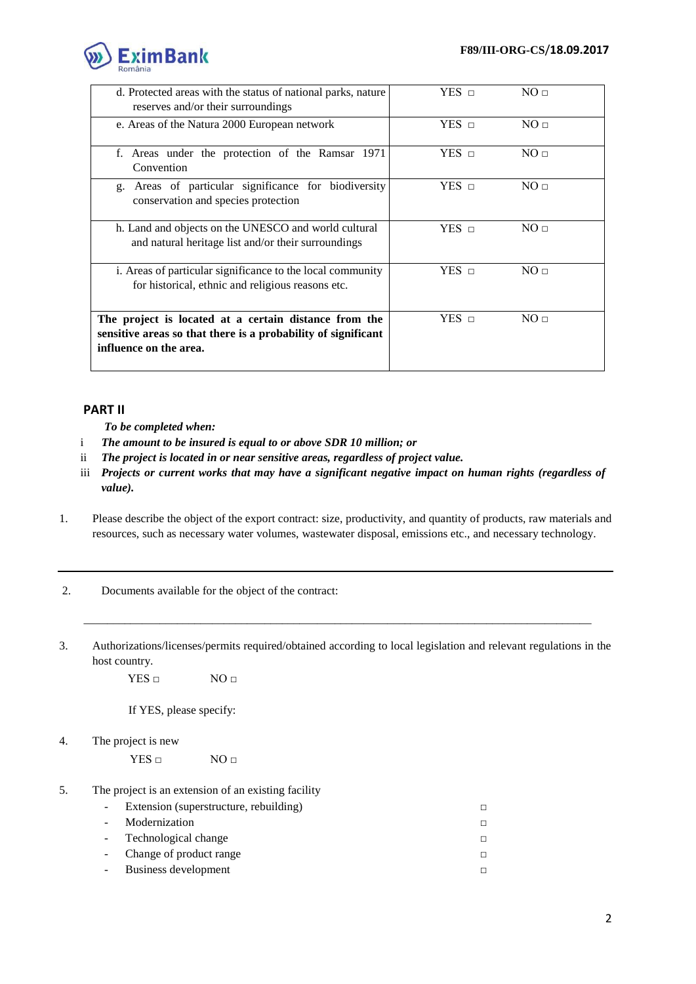

| d. Protected areas with the status of national parks, nature<br>reserves and/or their surroundings                                               | $YES\_n$     | NO <sub>II</sub> |
|--------------------------------------------------------------------------------------------------------------------------------------------------|--------------|------------------|
| e. Areas of the Natura 2000 European network                                                                                                     | $YES$ $\Box$ | NO <sub>II</sub> |
| f. Areas under the protection of the Ramsar 1971<br>Convention                                                                                   | $YES\_n$     | NO <sub>II</sub> |
| Areas of particular significance for biodiversity<br>g.<br>conservation and species protection                                                   | $YES\_n$     | NO <sub>II</sub> |
| h. Land and objects on the UNESCO and world cultural<br>and natural heritage list and/or their surroundings                                      | $YES\_n$     | NO <sub>II</sub> |
| i. Areas of particular significance to the local community<br>for historical, ethnic and religious reasons etc.                                  | $YES\_n$     | NO <sub>II</sub> |
| The project is located at a certain distance from the<br>sensitive areas so that there is a probability of significant<br>influence on the area. | $YES$ $\neg$ | NO <sub>II</sub> |

# **PART II**

- *To be completed when:*
- i *The amount to be insured is equal to or above SDR 10 million; or*
- ii *The project is located in or near sensitive areas, regardless of project value.*
- iii *Projects or current works that may have a significant negative impact on human rights (regardless of value).*
- 1. Please describe the object of the export contract: size, productivity, and quantity of products, raw materials and resources, such as necessary water volumes, wastewater disposal, emissions etc., and necessary technology.
- 2. Documents available for the object of the contract:
- 3. Authorizations/licenses/permits required/obtained according to local legislation and relevant regulations in the host country.

\_\_\_\_\_\_\_\_\_\_\_\_\_\_\_\_\_\_\_\_\_\_\_\_\_\_\_\_\_\_\_\_\_\_\_\_\_\_\_\_\_\_\_\_\_\_\_\_\_\_\_\_\_\_\_\_\_\_\_\_\_\_\_\_\_\_\_\_\_\_\_\_\_\_\_\_\_\_\_\_\_\_\_\_\_\_\_

YES □ NO □

If YES, please specify:

4. The project is new

 $YES \Box$  NO  $\Box$ 

5. The project is an extension of an existing facility

| $\sim$ | Extension (superstructure, rebuilding) |  |
|--------|----------------------------------------|--|
|        | - Modernization                        |  |
|        | - Technological change                 |  |
|        | - Change of product range              |  |
|        | Business development                   |  |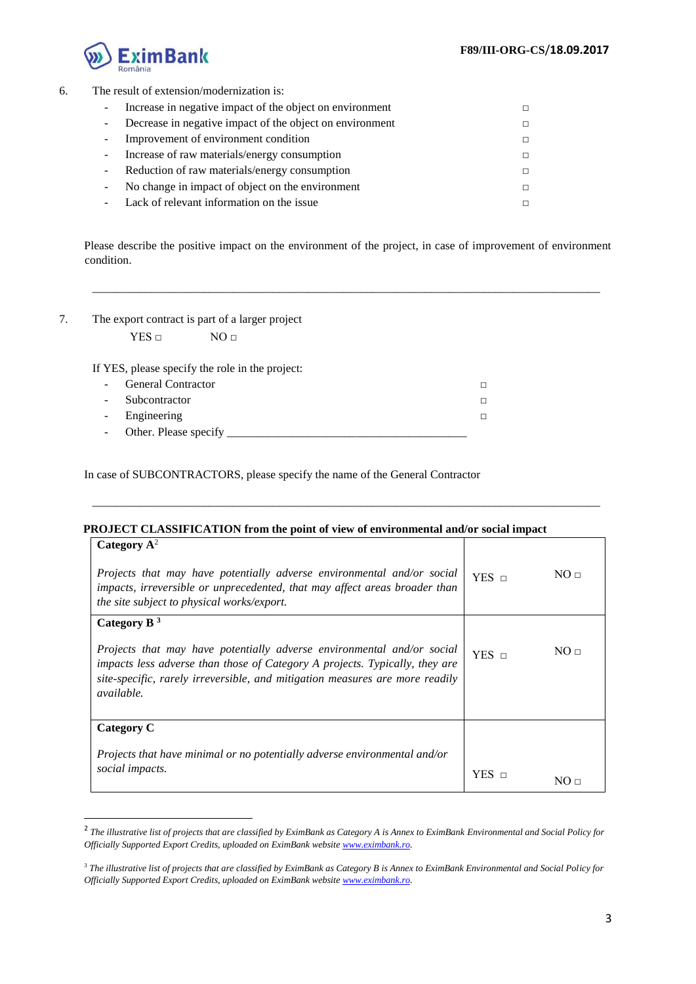

#### 6. The result of extension/modernization is:

| Increase in negative impact of the object on environment |        |
|----------------------------------------------------------|--------|
| Decrease in negative impact of the object on environment | П.     |
| Improvement of environment condition                     | П.     |
| Increase of raw materials/energy consumption             | $\Box$ |
| Reduction of raw materials/energy consumption            | П.     |
| No change in impact of object on the environment         | $\Box$ |
| Lack of relevant information on the issue                |        |

Please describe the positive impact on the environment of the project, in case of improvement of environment condition.

\_\_\_\_\_\_\_\_\_\_\_\_\_\_\_\_\_\_\_\_\_\_\_\_\_\_\_\_\_\_\_\_\_\_\_\_\_\_\_\_\_\_\_\_\_\_\_\_\_\_\_\_\_\_\_\_\_\_\_\_\_\_\_\_\_\_\_\_\_\_\_\_\_\_\_\_\_\_\_\_\_\_\_\_\_\_\_

| The export contract is part of a larger project |
|-------------------------------------------------|
|                                                 |

 $YES \Box$  NO  $\Box$ 

-

If YES, please specify the role in the project:

| - General Contractor    |  |
|-------------------------|--|
| - Subcontractor         |  |
| - Engineering           |  |
| - Other. Please specify |  |

In case of SUBCONTRACTORS, please specify the name of the General Contractor

## **PROJECT CLASSIFICATION from the point of view of environmental and/or social impact**

| Category $A^2$<br>Projects that may have potentially adverse environmental and/or social<br>impacts, irreversible or unprecedented, that may affect areas broader than<br><i>the site subject to physical works/export.</i>                                | $YES\_n$   | NO <sub>II</sub> |
|------------------------------------------------------------------------------------------------------------------------------------------------------------------------------------------------------------------------------------------------------------|------------|------------------|
| Category B $3$                                                                                                                                                                                                                                             |            |                  |
| Projects that may have potentially adverse environmental and/or social<br>impacts less adverse than those of Category A projects. Typically, they are<br>site-specific, rarely irreversible, and mitigation measures are more readily<br><i>available.</i> | YES $\Box$ | NO <sub>II</sub> |
| Category C                                                                                                                                                                                                                                                 |            |                  |
| Projects that have minimal or no potentially adverse environmental and/or<br>social impacts.                                                                                                                                                               | YES.       | NO ⊓             |

\_\_\_\_\_\_\_\_\_\_\_\_\_\_\_\_\_\_\_\_\_\_\_\_\_\_\_\_\_\_\_\_\_\_\_\_\_\_\_\_\_\_\_\_\_\_\_\_\_\_\_\_\_\_\_\_\_\_\_\_\_\_\_\_\_\_\_\_\_\_\_\_\_\_\_\_\_\_\_\_\_\_\_\_\_\_\_

<sup>2</sup> *The illustrative list of projects that are classified by EximBank as Category A is Annex to EximBank Environmental and Social Policy for Officially Supported Export Credits, uploaded on EximBank webs[ite www.eximbank.ro.](http://www.eximbank.ro/)*

<sup>3</sup> *The illustrative list of projects that are classified by EximBank as Category B is Annex to EximBank Environmental and Social Policy for Officially Supported Export Credits, uploaded on EximBank webs[ite www.eximbank.ro.](http://www.eximbank.ro/)*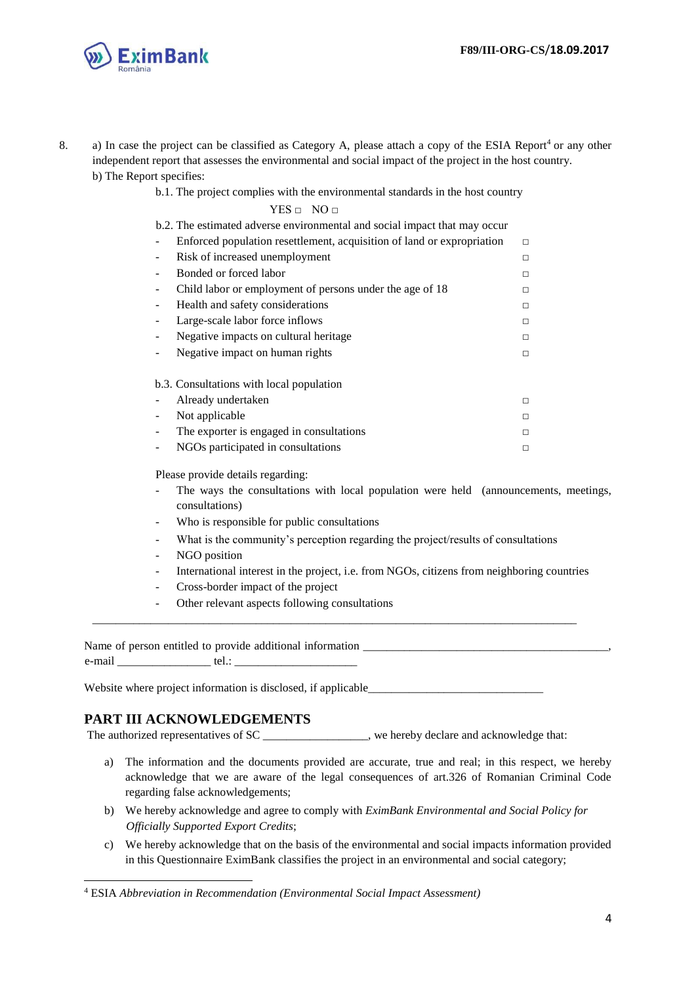

- 8. a) In case the project can be classified as Category A, please attach a copy of the ESIA Report<sup>4</sup> or any other independent report that assesses the environmental and social impact of the project in the host country. b) The Report specifies:
	- b.1. The project complies with the environmental standards in the host country

 $YES \Box NO \Box$ 

| b.2. The estimated adverse environmental and social impact that may occur                          |        |
|----------------------------------------------------------------------------------------------------|--------|
| Enforced population resettlement, acquisition of land or expropriation<br>$\overline{\phantom{a}}$ | $\Box$ |
| Risk of increased unemployment<br>$\overline{\phantom{a}}$                                         | $\Box$ |
| Bonded or forced labor                                                                             | $\Box$ |
| Child labor or employment of persons under the age of 18                                           | $\Box$ |
| Health and safety considerations                                                                   | $\Box$ |
| Large-scale labor force inflows<br>-                                                               | $\Box$ |
| Negative impacts on cultural heritage.<br>$\overline{\phantom{a}}$                                 | $\Box$ |
| Negative impact on human rights<br>-                                                               | $\Box$ |
| b.3. Consultations with local population                                                           |        |
| Already undertaken                                                                                 | $\Box$ |
| Not applicable<br>-                                                                                | $\Box$ |
| The exporter is engaged in consultations                                                           | $\Box$ |
| NGOs participated in consultations                                                                 | □      |
|                                                                                                    |        |

Please provide details regarding:

- The ways the consultations with local population were held (announcements, meetings, consultations)
- Who is responsible for public consultations
- What is the community's perception regarding the project/results of consultations
- NGO position
- International interest in the project, i.e. from NGOs, citizens from neighboring countries
- Cross-border impact of the project
- Other relevant aspects following consultations

Name of person entitled to provide additional information e-mail tel.:

\_\_\_\_\_\_\_\_\_\_\_\_\_\_\_\_\_\_\_\_\_\_\_\_\_\_\_\_\_\_\_\_\_\_\_\_\_\_\_\_\_\_\_\_\_\_\_\_\_\_\_\_\_\_\_\_\_\_\_\_\_\_\_\_\_\_\_\_\_\_\_\_\_\_\_\_\_\_\_\_\_\_\_

Website where project information is disclosed, if applicable

## **PART III ACKNOWLEDGEMENTS**

1

The authorized representatives of SC \_\_\_\_\_\_\_\_\_\_\_\_\_\_\_\_, we hereby declare and acknowledge that:

- a) The information and the documents provided are accurate, true and real; in this respect, we hereby acknowledge that we are aware of the legal consequences of art.326 of Romanian Criminal Code regarding false acknowledgements;
- b) We hereby acknowledge and agree to comply with *EximBank Environmental and Social Policy for Officially Supported Export Credits*;
- c) We hereby acknowledge that on the basis of the environmental and social impacts information provided in this Questionnaire EximBank classifies the project in an environmental and social category;

<sup>4</sup> ESIA *Abbreviation in Recommendation (Environmental Social Impact Assessment)*